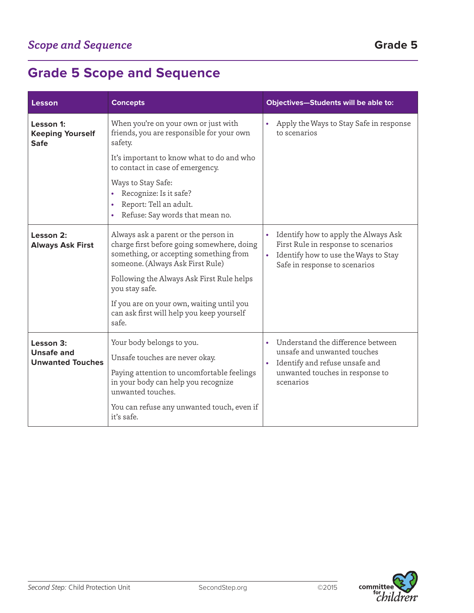## **Grade 5 Scope and Sequence**

| Lesson                                                    | <b>Concepts</b>                                                                                                                                                       | <b>Objectives-Students will be able to:</b>                                                                                                                                  |
|-----------------------------------------------------------|-----------------------------------------------------------------------------------------------------------------------------------------------------------------------|------------------------------------------------------------------------------------------------------------------------------------------------------------------------------|
| Lesson 1:<br><b>Keeping Yourself</b><br><b>Safe</b>       | When you're on your own or just with<br>friends, you are responsible for your own<br>safety.                                                                          | Apply the Ways to Stay Safe in response<br>to scenarios                                                                                                                      |
|                                                           | It's important to know what to do and who<br>to contact in case of emergency.                                                                                         |                                                                                                                                                                              |
|                                                           | Ways to Stay Safe:<br>Recognize: Is it safe?<br>$\bullet$<br>Report: Tell an adult.<br>$\bullet$<br>Refuse: Say words that mean no.<br>٠                              |                                                                                                                                                                              |
| Lesson 2:<br><b>Always Ask First</b>                      | Always ask a parent or the person in<br>charge first before going somewhere, doing<br>something, or accepting something from<br>someone. (Always Ask First Rule)      | Identify how to apply the Always Ask<br>First Rule in response to scenarios<br>Identify how to use the Ways to Stay<br>Safe in response to scenarios                         |
|                                                           | Following the Always Ask First Rule helps<br>you stay safe.                                                                                                           |                                                                                                                                                                              |
|                                                           | If you are on your own, waiting until you<br>can ask first will help you keep yourself<br>safe.                                                                       |                                                                                                                                                                              |
| Lesson 3:<br><b>Unsafe and</b><br><b>Unwanted Touches</b> | Your body belongs to you.<br>Unsafe touches are never okay.<br>Paying attention to uncomfortable feelings<br>in your body can help you recognize<br>unwanted touches. | Understand the difference between<br>$\bullet$<br>unsafe and unwanted touches<br>Identify and refuse unsafe and<br>$\bullet$<br>unwanted touches in response to<br>scenarios |
|                                                           | You can refuse any unwanted touch, even if<br>it's safe.                                                                                                              |                                                                                                                                                                              |